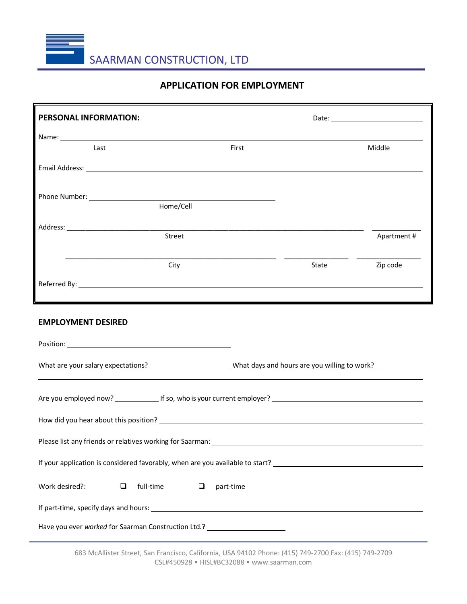

# **APPLICATION FOR EMPLOYMENT**

| <b>PERSONAL INFORMATION:</b>                                                                                     |           |       |            |  |  |
|------------------------------------------------------------------------------------------------------------------|-----------|-------|------------|--|--|
|                                                                                                                  |           |       |            |  |  |
| Last                                                                                                             |           | First | Middle     |  |  |
|                                                                                                                  |           |       |            |  |  |
|                                                                                                                  | Home/Cell |       |            |  |  |
|                                                                                                                  |           |       |            |  |  |
|                                                                                                                  | Street    |       | Apartment# |  |  |
|                                                                                                                  | City      | State | Zip code   |  |  |
|                                                                                                                  |           |       |            |  |  |
| <b>EMPLOYMENT DESIRED</b>                                                                                        |           |       |            |  |  |
| Are you employed now? ________________ If so, who is your current employer? __________________________________   |           |       |            |  |  |
|                                                                                                                  |           |       |            |  |  |
| Please list any friends or relatives working for Saarman: Networks and the process of the process of the process |           |       |            |  |  |
| If your application is considered favorably, when are you available to start?                                    |           |       |            |  |  |
| Work desired?:<br>full-time<br>$\Box$<br>$\Box$<br>part-time                                                     |           |       |            |  |  |
|                                                                                                                  |           |       |            |  |  |
| Have you ever worked for Saarman Construction Ltd.? ____________________________                                 |           |       |            |  |  |

683 McAllister Street, San Francisco, California, USA 94102 Phone: (415) 749-2700 Fax: (415) 749-2709 CSL#450928 • HISL#BC32088 • www.saarman.com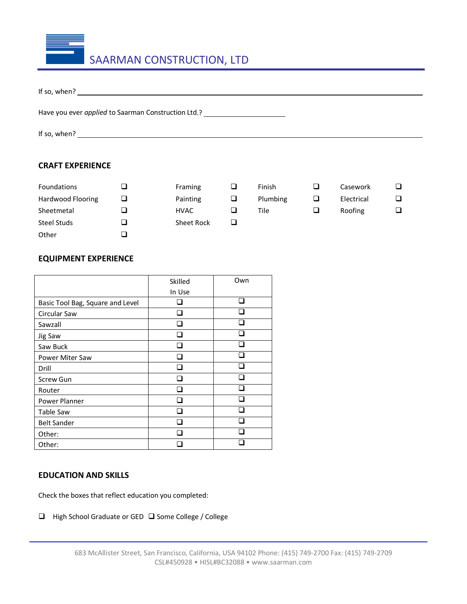

| Have you ever <i>applied</i> to Saarman Construction Ltd.? |
|------------------------------------------------------------|
|                                                            |
|                                                            |
|                                                            |

## **CRAFT EXPERIENCE**

| Foundations       | Framing           | Finish   | Casework   | □ |
|-------------------|-------------------|----------|------------|---|
| Hardwood Flooring | Painting          | Plumbing | Electrical | ❏ |
| Sheetmetal        | <b>HVAC</b>       | Tile     | Roofing    | □ |
| Steel Studs       | <b>Sheet Rock</b> |          |            |   |
| Other             |                   |          |            |   |

### **EQUIPMENT EXPERIENCE**

|                                  | Skilled | Own |
|----------------------------------|---------|-----|
|                                  | In Use  |     |
| Basic Tool Bag, Square and Level |         |     |
| Circular Saw                     |         |     |
| Sawzall                          |         |     |
| Jig Saw                          |         |     |
| Saw Buck                         |         |     |
| <b>Power Miter Saw</b>           |         |     |
| Drill                            |         |     |
| <b>Screw Gun</b>                 |         |     |
| Router                           |         |     |
| Power Planner                    |         |     |
| Table Saw                        |         |     |
| <b>Belt Sander</b>               |         |     |
| Other:                           |         |     |
| Other:                           |         |     |

## **EDUCATION AND SKILLS**

Check the boxes that reflect education you completed:

q High School Graduate or GED q Some College / College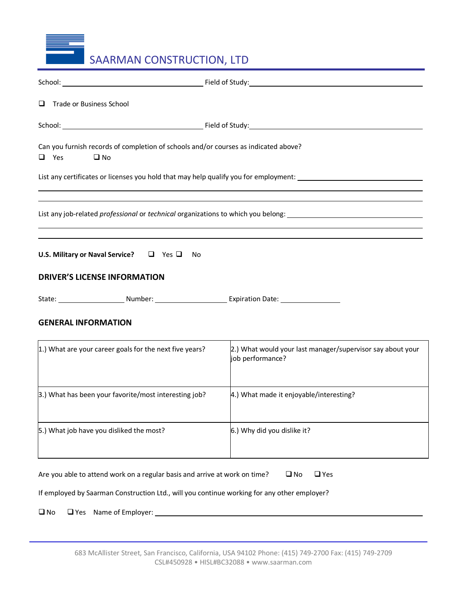| $\Box$<br>Trade or Business School                                                                                |                                                                                                                |  |  |  |
|-------------------------------------------------------------------------------------------------------------------|----------------------------------------------------------------------------------------------------------------|--|--|--|
|                                                                                                                   |                                                                                                                |  |  |  |
| Can you furnish records of completion of schools and/or courses as indicated above?<br>$\Box$ Yes<br>$\square$ No |                                                                                                                |  |  |  |
|                                                                                                                   | List any certificates or licenses you hold that may help qualify you for employment: _________________________ |  |  |  |
|                                                                                                                   | ,我们也不会有什么。""我们的人,我们也不会有什么?""我们的人,我们也不会有什么?""我们的人,我们也不会有什么?""我们的人,我们也不会有什么?""我们的人                               |  |  |  |
| U.S. Military or Naval Service? □ Yes □ No                                                                        |                                                                                                                |  |  |  |
| <b>DRIVER'S LICENSE INFORMATION</b>                                                                               |                                                                                                                |  |  |  |
|                                                                                                                   |                                                                                                                |  |  |  |
| <b>GENERAL INFORMATION</b>                                                                                        |                                                                                                                |  |  |  |
| $\vert$ 1.) What are your career goals for the next five years?                                                   | 2.) What would your last manager/supervisor say about your<br>job performance?                                 |  |  |  |
| 3.) What has been your favorite/most interesting job?                                                             | 4.) What made it enjoyable/interesting?                                                                        |  |  |  |
| 5.) What job have you disliked the most?                                                                          | 6.) Why did you dislike it?                                                                                    |  |  |  |
| Are you able to attend work on a regular basis and arrive at work on time?                                        | $\square$ No<br>$\Box$ Yes                                                                                     |  |  |  |
| If employed by Saarman Construction Ltd., will you continue working for any other employer?                       |                                                                                                                |  |  |  |
| Yes Name of Employer:<br>$\square$ No                                                                             |                                                                                                                |  |  |  |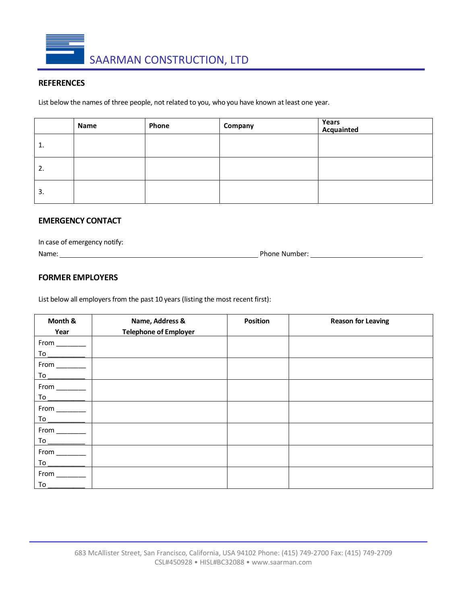

### **REFERENCES**

List below the names of three people, not related to you, who you have known at least one year.

|    | Name | Phone | Company | Years<br>Acquainted |
|----|------|-------|---------|---------------------|
| ⊥. |      |       |         |                     |
| 2. |      |       |         |                     |
| 3. |      |       |         |                     |

### **EMERGENCY CONTACT**

| In case of emergency notify: |                      |
|------------------------------|----------------------|
| Name:                        | <b>Phone Number:</b> |

# **FORMER EMPLOYERS**

List below all employers from the past 10 years (listing the most recent first):

| Month &<br>Year | Name, Address &<br><b>Telephone of Employer</b> | Position | <b>Reason for Leaving</b> |
|-----------------|-------------------------------------------------|----------|---------------------------|
| From            |                                                 |          |                           |
| To              |                                                 |          |                           |
| From $_{-}$     |                                                 |          |                           |
| To              |                                                 |          |                           |
| $From \_\_$     |                                                 |          |                           |
| $To_$           |                                                 |          |                           |
| From            |                                                 |          |                           |
| To              |                                                 |          |                           |
| From            |                                                 |          |                           |
| To              |                                                 |          |                           |
| From ______     |                                                 |          |                           |
| To              |                                                 |          |                           |
| From $\_$       |                                                 |          |                           |
| To              |                                                 |          |                           |